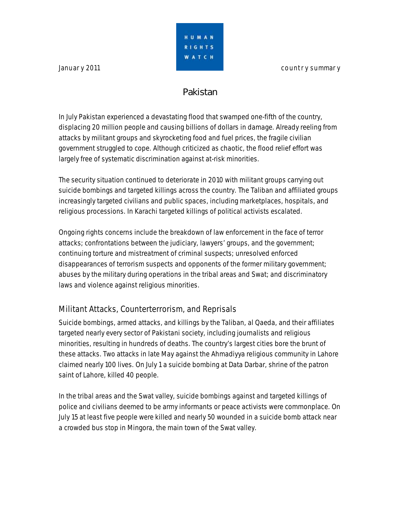**January 2011 country summary** 



# **Pakistan**

In July Pakistan experienced a devastating flood that swamped one-fifth of the country, displacing 20 million people and causing billions of dollars in damage. Already reeling from attacks by militant groups and skyrocketing food and fuel prices, the fragile civilian government struggled to cope. Although criticized as chaotic, the flood relief effort was largely free of systematic discrimination against at-risk minorities.

The security situation continued to deteriorate in 2010 with militant groups carrying out suicide bombings and targeted killings across the country. The Taliban and affiliated groups increasingly targeted civilians and public spaces, including marketplaces, hospitals, and religious processions. In Karachi targeted killings of political activists escalated.

Ongoing rights concerns include the breakdown of law enforcement in the face of terror attacks; confrontations between the judiciary, lawyers' groups, and the government; continuing torture and mistreatment of criminal suspects; unresolved enforced disappearances of terrorism suspects and opponents of the former military government; abuses by the military during operations in the tribal areas and Swat; and discriminatory laws and violence against religious minorities.

## Militant Attacks, Counterterrorism, and Reprisals

Suicide bombings, armed attacks, and killings by the Taliban, al Qaeda, and their affiliates targeted nearly every sector of Pakistani society, including journalists and religious minorities, resulting in hundreds of deaths. The country's largest cities bore the brunt of these attacks. Two attacks in late May against the Ahmadiyya religious community in Lahore claimed nearly 100 lives. On July 1 a suicide bombing at Data Darbar, shrine of the patron saint of Lahore, killed 40 people.

In the tribal areas and the Swat valley, suicide bombings against and targeted killings of police and civilians deemed to be army informants or peace activists were commonplace. On July 15 at least five people were killed and nearly 50 wounded in a suicide bomb attack near a crowded bus stop in Mingora, the main town of the Swat valley.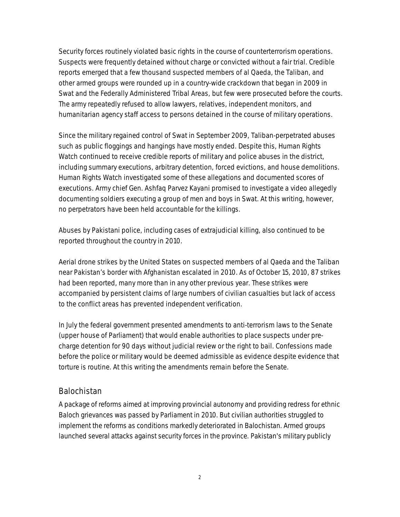Security forces routinely violated basic rights in the course of counterterrorism operations. Suspects were frequently detained without charge or convicted without a fair trial. Credible reports emerged that a few thousand suspected members of al Qaeda, the Taliban, and other armed groups were rounded up in a country-wide crackdown that began in 2009 in Swat and the Federally Administered Tribal Areas, but few were prosecuted before the courts. The army repeatedly refused to allow lawyers, relatives, independent monitors, and humanitarian agency staff access to persons detained in the course of military operations.

Since the military regained control of Swat in September 2009, Taliban-perpetrated abuses such as public floggings and hangings have mostly ended. Despite this, Human Rights Watch continued to receive credible reports of military and police abuses in the district, including summary executions, arbitrary detention, forced evictions, and house demolitions. Human Rights Watch investigated some of these allegations and documented scores of executions. Army chief Gen. Ashfaq Parvez Kayani promised to investigate a video allegedly documenting soldiers executing a group of men and boys in Swat. At this writing, however, no perpetrators have been held accountable for the killings.

Abuses by Pakistani police, including cases of extrajudicial killing, also continued to be reported throughout the country in 2010.

Aerial drone strikes by the United States on suspected members of al Qaeda and the Taliban near Pakistan's border with Afghanistan escalated in 2010. As of October 15, 2010, 87 strikes had been reported, many more than in any other previous year. These strikes were accompanied by persistent claims of large numbers of civilian casualties but lack of access to the conflict areas has prevented independent verification.

In July the federal government presented amendments to anti-terrorism laws to the Senate (upper house of Parliament) that would enable authorities to place suspects under precharge detention for 90 days without judicial review or the right to bail. Confessions made before the police or military would be deemed admissible as evidence despite evidence that torture is routine. At this writing the amendments remain before the Senate.

#### Balochistan

A package of reforms aimed at improving provincial autonomy and providing redress for ethnic Baloch grievances was passed by Parliament in 2010. But civilian authorities struggled to implement the reforms as conditions markedly deteriorated in Balochistan. Armed groups launched several attacks against security forces in the province. Pakistan's military publicly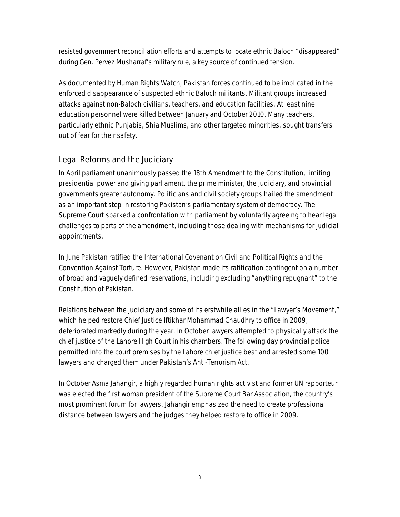resisted government reconciliation efforts and attempts to locate ethnic Baloch "disappeared" during Gen. Pervez Musharraf's military rule, a key source of continued tension.

As documented by Human Rights Watch, Pakistan forces continued to be implicated in the enforced disappearance of suspected ethnic Baloch militants. Militant groups increased attacks against non-Baloch civilians, teachers, and education facilities. At least nine education personnel were killed between January and October 2010. Many teachers, particularly ethnic Punjabis, Shia Muslims, and other targeted minorities, sought transfers out of fear for their safety.

## Legal Reforms and the Judiciary

In April parliament unanimously passed the 18th Amendment to the Constitution, limiting presidential power and giving parliament, the prime minister, the judiciary, and provincial governments greater autonomy. Politicians and civil society groups hailed the amendment as an important step in restoring Pakistan's parliamentary system of democracy. The Supreme Court sparked a confrontation with parliament by voluntarily agreeing to hear legal challenges to parts of the amendment, including those dealing with mechanisms for judicial appointments.

In June Pakistan ratified the International Covenant on Civil and Political Rights and the Convention Against Torture. However, Pakistan made its ratification contingent on a number of broad and vaguely defined reservations, including excluding "anything repugnant" to the Constitution of Pakistan.

Relations between the judiciary and some of its erstwhile allies in the "Lawyer's Movement," which helped restore Chief Justice Iftikhar Mohammad Chaudhry to office in 2009, deteriorated markedly during the year. In October lawyers attempted to physically attack the chief justice of the Lahore High Court in his chambers. The following day provincial police permitted into the court premises by the Lahore chief justice beat and arrested some 100 lawyers and charged them under Pakistan's Anti-Terrorism Act.

In October Asma Jahangir, a highly regarded human rights activist and former UN rapporteur was elected the first woman president of the Supreme Court Bar Association, the country's most prominent forum for lawyers. Jahangir emphasized the need to create professional distance between lawyers and the judges they helped restore to office in 2009.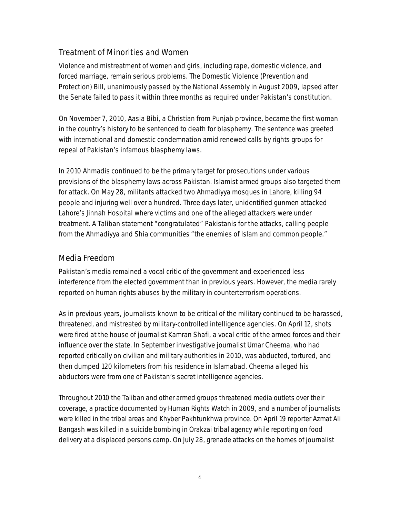### Treatment of Minorities and Women

Violence and mistreatment of women and girls, including rape, domestic violence, and forced marriage, remain serious problems. The Domestic Violence (Prevention and Protection) Bill, unanimously passed by the National Assembly in August 2009, lapsed after the Senate failed to pass it within three months as required under Pakistan's constitution.

On November 7, 2010, Aasia Bibi, a Christian from Punjab province, became the first woman in the country's history to be sentenced to death for blasphemy. The sentence was greeted with international and domestic condemnation amid renewed calls by rights groups for repeal of Pakistan's infamous blasphemy laws.

In 2010 Ahmadis continued to be the primary target for prosecutions under various provisions of the blasphemy laws across Pakistan. Islamist armed groups also targeted them for attack. On May 28, militants attacked two Ahmadiyya mosques in Lahore, killing 94 people and injuring well over a hundred. Three days later, unidentified gunmen attacked Lahore's Jinnah Hospital where victims and one of the alleged attackers were under treatment. A Taliban statement "congratulated" Pakistanis for the attacks, calling people from the Ahmadiyya and Shia communities "the enemies of Islam and common people."

#### Media Freedom

Pakistan's media remained a vocal critic of the government and experienced less interference from the elected government than in previous years. However, the media rarely reported on human rights abuses by the military in counterterrorism operations.

As in previous years, journalists known to be critical of the military continued to be harassed, threatened, and mistreated by military-controlled intelligence agencies. On April 12, shots were fired at the house of journalist Kamran Shafi, a vocal critic of the armed forces and their influence over the state. In September investigative journalist Umar Cheema, who had reported critically on civilian and military authorities in 2010, was abducted, tortured, and then dumped 120 kilometers from his residence in Islamabad. Cheema alleged his abductors were from one of Pakistan's secret intelligence agencies.

Throughout 2010 the Taliban and other armed groups threatened media outlets over their coverage, a practice documented by Human Rights Watch in 2009, and a number of journalists were killed in the tribal areas and Khyber Pakhtunkhwa province. On April 19 reporter Azmat Ali Bangash was killed in a suicide bombing in Orakzai tribal agency while reporting on food delivery at a displaced persons camp. On July 28, grenade attacks on the homes of journalist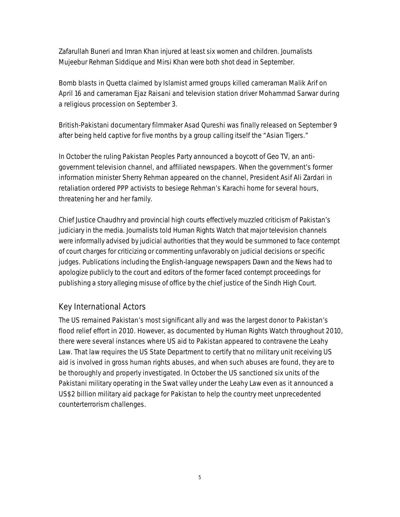Zafarullah Buneri and Imran Khan injured at least six women and children. Journalists Mujeebur Rehman Siddique and Mirsi Khan were both shot dead in September.

Bomb blasts in Quetta claimed by Islamist armed groups killed cameraman Malik Arif on April 16 and cameraman Ejaz Raisani and television station driver Mohammad Sarwar during a religious procession on September 3.

British-Pakistani documentary filmmaker Asad Qureshi was finally released on September 9 after being held captive for five months by a group calling itself the "Asian Tigers."

In October the ruling Pakistan Peoples Party announced a boycott of Geo TV, an antigovernment television channel, and affiliated newspapers. When the government's former information minister Sherry Rehman appeared on the channel, President Asif Ali Zardari in retaliation ordered PPP activists to besiege Rehman's Karachi home for several hours, threatening her and her family.

Chief Justice Chaudhry and provincial high courts effectively muzzled criticism of Pakistan's judiciary in the media. Journalists told Human Rights Watch that major television channels were informally advised by judicial authorities that they would be summoned to face contempt of court charges for criticizing or commenting unfavorably on judicial decisions or specific judges. Publications including the English-language newspapers Dawn and the News had to apologize publicly to the court and editors of the former faced contempt proceedings for publishing a story alleging misuse of office by the chief justice of the Sindh High Court.

### Key International Actors

The US remained Pakistan's most significant ally and was the largest donor to Pakistan's flood relief effort in 2010. However, as documented by Human Rights Watch throughout 2010, there were several instances where US aid to Pakistan appeared to contravene the Leahy Law. That law requires the US State Department to certify that no military unit receiving US aid is involved in gross human rights abuses, and when such abuses are found, they are to be thoroughly and properly investigated. In October the US sanctioned six units of the Pakistani military operating in the Swat valley under the Leahy Law even as it announced a US\$2 billion military aid package for Pakistan to help the country meet unprecedented counterterrorism challenges.